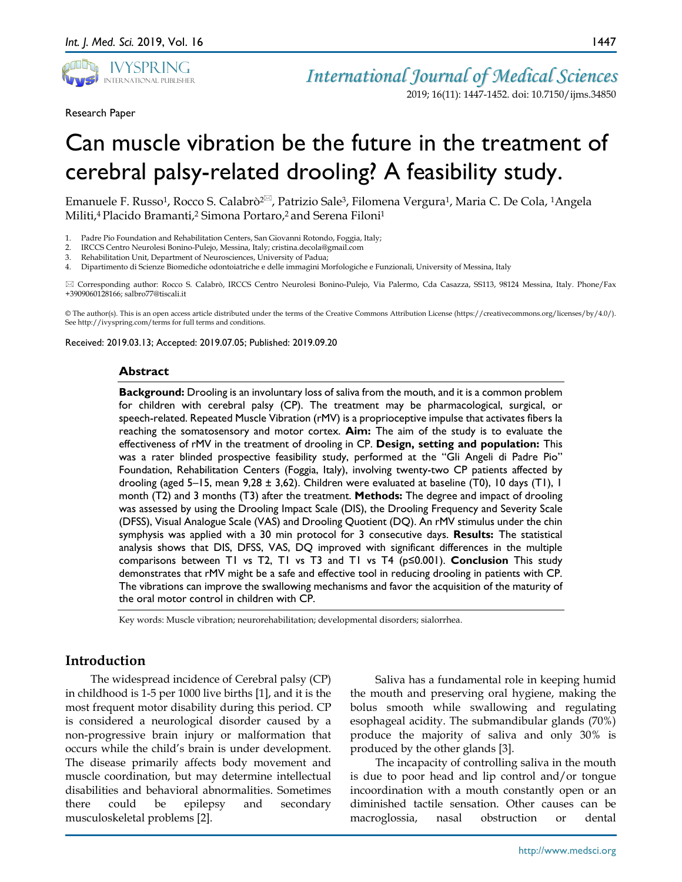

Research Paper

2019; 16(11): 1447-1452. doi: 10.7150/ijms.34850

1447

# Can muscle vibration be the future in the treatment of cerebral palsy-related drooling? A feasibility study.

Emanuele F. Russo<sup>1</sup>, Rocco S. Calabrò<sup>2 $\approx$ </sup>, Patrizio Sale<sup>3</sup>, Filomena Vergura<sup>1</sup>, Maria C. De Cola, <sup>1</sup>Angela Militi,4 Placido Bramanti,2 Simona Portaro,2 and Serena Filoni1

- 1. Padre Pio Foundation and Rehabilitation Centers, San Giovanni Rotondo, Foggia, Italy;
- 2. IRCCS Centro Neurolesi Bonino-Pulejo, Messina, Italy; cristina.decola@gmail.com
- Rehabilitation Unit, Department of Neurosciences, University of Padua;

4. Dipartimento di Scienze Biomediche odontoiatriche e delle immagini Morfologiche e Funzionali, University of Messina, Italy

 Corresponding author: Rocco S. Calabrò, IRCCS Centro Neurolesi Bonino-Pulejo, Via Palermo, Cda Casazza, SS113, 98124 Messina, Italy. Phone/Fax +3909060128166; salbro77@tiscali.it

© The author(s). This is an open access article distributed under the terms of the Creative Commons Attribution License (https://creativecommons.org/licenses/by/4.0/). See http://ivyspring.com/terms for full terms and conditions.

Received: 2019.03.13; Accepted: 2019.07.05; Published: 2019.09.20

#### **Abstract**

**Background:** Drooling is an involuntary loss of saliva from the mouth, and it is a common problem for children with cerebral palsy (CP). The treatment may be pharmacological, surgical, or speech-related. Repeated Muscle Vibration (rMV) is a proprioceptive impulse that activates fibers Ia reaching the somatosensory and motor cortex. **Aim:** The aim of the study is to evaluate the effectiveness of rMV in the treatment of drooling in CP. **Design, setting and population:** This was a rater blinded prospective feasibility study, performed at the "Gli Angeli di Padre Pio" Foundation, Rehabilitation Centers (Foggia, Italy), involving twenty-two CP patients affected by drooling (aged 5–15, mean 9,28 ± 3,62). Children were evaluated at baseline (T0), 10 days (T1), 1 month (T2) and 3 months (T3) after the treatment. **Methods:** The degree and impact of drooling was assessed by using the Drooling Impact Scale (DIS), the Drooling Frequency and Severity Scale (DFSS), Visual Analogue Scale (VAS) and Drooling Quotient (DQ). An rMV stimulus under the chin symphysis was applied with a 30 min protocol for 3 consecutive days. **Results:** The statistical analysis shows that DIS, DFSS, VAS, DQ improved with significant differences in the multiple comparisons between T1 vs T2, T1 vs T3 and T1 vs T4 (p≤0.001). **Conclusion** This study demonstrates that rMV might be a safe and effective tool in reducing drooling in patients with CP. The vibrations can improve the swallowing mechanisms and favor the acquisition of the maturity of the oral motor control in children with CP.

Key words: Muscle vibration; neurorehabilitation; developmental disorders; sialorrhea.

# **Introduction**

The widespread incidence of Cerebral palsy (CP) in childhood is 1-5 per 1000 live births [1], and it is the most frequent motor disability during this period. CP is considered a neurological disorder caused by a non-progressive brain injury or malformation that occurs while the child's brain is under development. The disease primarily affects body movement and muscle coordination, but may determine intellectual disabilities and behavioral abnormalities. Sometimes there could be epilepsy and secondary musculoskeletal problems [2].

Saliva has a fundamental role in keeping humid the mouth and preserving oral hygiene, making the bolus smooth while swallowing and regulating esophageal acidity. The submandibular glands (70%) produce the majority of saliva and only 30% is produced by the other glands [3].

The incapacity of controlling saliva in the mouth is due to poor head and lip control and/or tongue incoordination with a mouth constantly open or an diminished tactile sensation. Other causes can be macroglossia, nasal obstruction or dental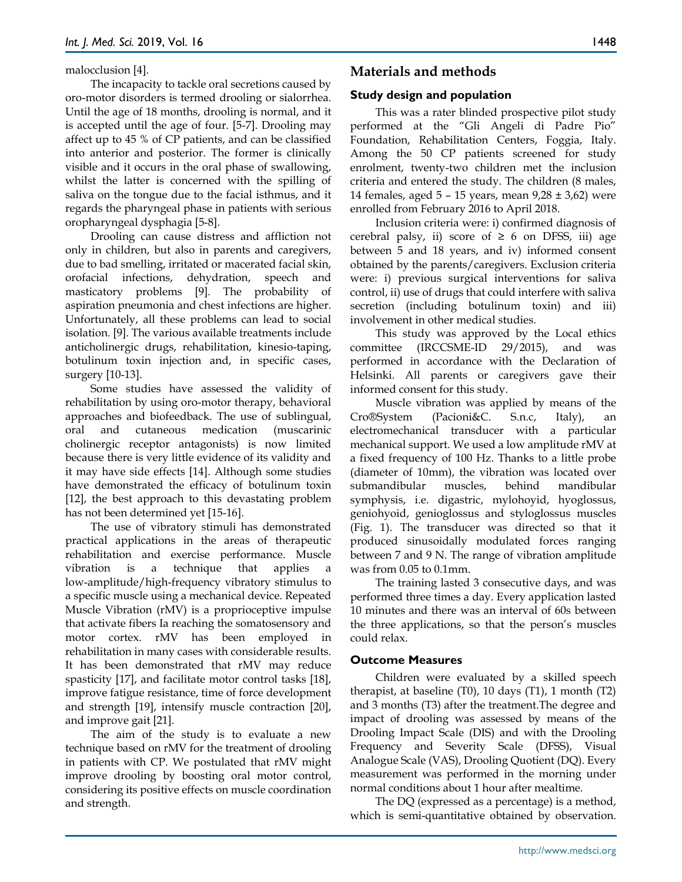malocclusion [4].

The incapacity to tackle oral secretions caused by oro-motor disorders is termed drooling or sialorrhea. Until the age of 18 months, drooling is normal, and it is accepted until the age of four. [5-7]. Drooling may affect up to 45 % of CP patients, and can be classified into anterior and posterior. The former is clinically visible and it occurs in the oral phase of swallowing, whilst the latter is concerned with the spilling of saliva on the tongue due to the facial isthmus, and it regards the pharyngeal phase in patients with serious oropharyngeal dysphagia [5-8].

Drooling can cause distress and affliction not only in children, but also in parents and caregivers, due to bad smelling, irritated or macerated facial skin, orofacial infections, dehydration, speech and masticatory problems [9]. The probability of aspiration pneumonia and chest infections are higher. Unfortunately, all these problems can lead to social isolation. [9]. The various available treatments include anticholinergic drugs, rehabilitation, kinesio-taping, botulinum toxin injection and, in specific cases, surgery [10-13].

Some studies have assessed the validity of rehabilitation by using oro-motor therapy, behavioral approaches and biofeedback. The use of sublingual, oral and cutaneous medication (muscarinic cholinergic receptor antagonists) is now limited because there is very little evidence of its validity and it may have side effects [14]. Although some studies have demonstrated the efficacy of botulinum toxin [12], the best approach to this devastating problem has not been determined yet [15-16].

The use of vibratory stimuli has demonstrated practical applications in the areas of therapeutic rehabilitation and exercise performance. Muscle vibration is a technique that applies a low-amplitude/high-frequency vibratory stimulus to a specific muscle using a mechanical device. Repeated Muscle Vibration (rMV) is a proprioceptive impulse that activate fibers Ia reaching the somatosensory and motor cortex. rMV has been employed in rehabilitation in many cases with considerable results. It has been demonstrated that rMV may reduce spasticity [17], and facilitate motor control tasks [18], improve fatigue resistance, time of force development and strength [19], intensify muscle contraction [20], and improve gait [21].

The aim of the study is to evaluate a new technique based on rMV for the treatment of drooling in patients with CP. We postulated that rMV might improve drooling by boosting oral motor control, considering its positive effects on muscle coordination and strength.

# **Materials and methods**

# **Study design and population**

This was a rater blinded prospective pilot study performed at the "Gli Angeli di Padre Pio" Foundation, Rehabilitation Centers, Foggia, Italy. Among the 50 CP patients screened for study enrolment, twenty-two children met the inclusion criteria and entered the study. The children (8 males, 14 females, aged 5 – 15 years, mean 9,28 ± 3,62) were enrolled from February 2016 to April 2018.

Inclusion criteria were: i) confirmed diagnosis of cerebral palsy, ii) score of  $\geq 6$  on DFSS, iii) age between 5 and 18 years, and iv) informed consent obtained by the parents/caregivers. Exclusion criteria were: i) previous surgical interventions for saliva control, ii) use of drugs that could interfere with saliva secretion (including botulinum toxin) and iii) involvement in other medical studies.

This study was approved by the Local ethics committee (IRCCSME-ID 29/2015), and was performed in accordance with the Declaration of Helsinki. All parents or caregivers gave their informed consent for this study.

Muscle vibration was applied by means of the Cro®System (Pacioni&C. S.n.c, Italy), an electromechanical transducer with a particular mechanical support. We used a low amplitude rMV at a fixed frequency of 100 Hz. Thanks to a little probe (diameter of 10mm), the vibration was located over submandibular muscles, behind mandibular symphysis, i.e. digastric, mylohoyid, hyoglossus, geniohyoid, genioglossus and styloglossus muscles (Fig. 1). The transducer was directed so that it produced sinusoidally modulated forces ranging between 7 and 9 N. The range of vibration amplitude was from 0.05 to 0.1mm.

The training lasted 3 consecutive days, and was performed three times a day. Every application lasted 10 minutes and there was an interval of 60s between the three applications, so that the person's muscles could relax.

# **Outcome Measures**

Children were evaluated by a skilled speech therapist, at baseline (T0), 10 days (T1), 1 month (T2) and 3 months (T3) after the treatment.The degree and impact of drooling was assessed by means of the Drooling Impact Scale (DIS) and with the Drooling Frequency and Severity Scale (DFSS), Visual Analogue Scale (VAS), Drooling Quotient (DQ). Every measurement was performed in the morning under normal conditions about 1 hour after mealtime.

The DQ (expressed as a percentage) is a method, which is semi-quantitative obtained by observation.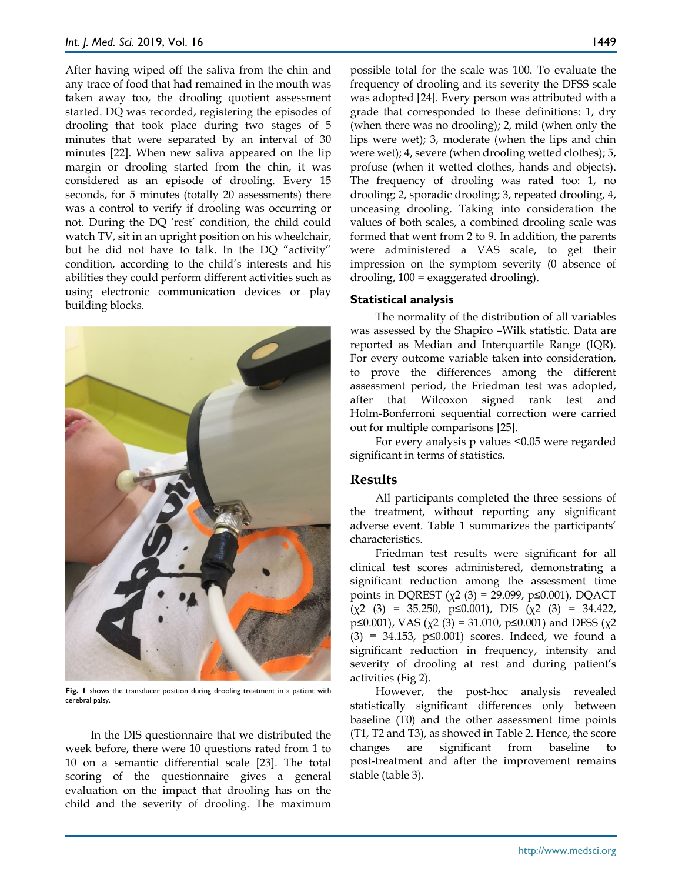After having wiped off the saliva from the chin and any trace of food that had remained in the mouth was taken away too, the drooling quotient assessment started. DQ was recorded, registering the episodes of drooling that took place during two stages of 5 minutes that were separated by an interval of 30 minutes [22]. When new saliva appeared on the lip margin or drooling started from the chin, it was considered as an episode of drooling. Every 15 seconds, for 5 minutes (totally 20 assessments) there was a control to verify if drooling was occurring or not. During the DQ 'rest' condition, the child could watch TV, sit in an upright position on his wheelchair, but he did not have to talk. In the DQ "activity" condition, according to the child's interests and his abilities they could perform different activities such as using electronic communication devices or play building blocks.



Fig. 1 shows the transducer position during drooling treatment in a patient with cerebral palsy.

In the DIS questionnaire that we distributed the week before, there were 10 questions rated from 1 to 10 on a semantic differential scale [23]. The total scoring of the questionnaire gives a general evaluation on the impact that drooling has on the child and the severity of drooling. The maximum possible total for the scale was 100. To evaluate the frequency of drooling and its severity the DFSS scale was adopted [24]. Every person was attributed with a grade that corresponded to these definitions: 1, dry (when there was no drooling); 2, mild (when only the lips were wet); 3, moderate (when the lips and chin were wet); 4, severe (when drooling wetted clothes); 5, profuse (when it wetted clothes, hands and objects). The frequency of drooling was rated too: 1, no drooling; 2, sporadic drooling; 3, repeated drooling, 4, unceasing drooling. Taking into consideration the values of both scales, a combined drooling scale was formed that went from 2 to 9. In addition, the parents were administered a VAS scale, to get their impression on the symptom severity (0 absence of drooling, 100 = exaggerated drooling).

#### **Statistical analysis**

The normality of the distribution of all variables was assessed by the Shapiro –Wilk statistic. Data are reported as Median and Interquartile Range (IQR). For every outcome variable taken into consideration, to prove the differences among the different assessment period, the Friedman test was adopted, after that Wilcoxon signed rank test and Holm-Bonferroni sequential correction were carried out for multiple comparisons [25].

For every analysis p values <0.05 were regarded significant in terms of statistics.

#### **Results**

All participants completed the three sessions of the treatment, without reporting any significant adverse event. Table 1 summarizes the participants' characteristics.

Friedman test results were significant for all clinical test scores administered, demonstrating a significant reduction among the assessment time points in DQREST ( $χ$ 2 (3) = 29.099, p≤0.001), DQACT  $(\chi^2 \quad (3) = 35.250, \quad p \le 0.001), \quad \text{DIS} \quad (\chi^2 \quad (3) = 34.422,$ p≤0.001), VAS ( $\chi$ 2 (3) = 31.010, p≤0.001) and DFSS ( $\chi$ 2 (3) = 34.153, p≤0.001) scores. Indeed, we found a significant reduction in frequency, intensity and severity of drooling at rest and during patient's activities (Fig 2).

However, the post-hoc analysis revealed statistically significant differences only between baseline (T0) and the other assessment time points (T1, T2 and T3), as showed in Table 2. Hence, the score changes are significant from baseline to post-treatment and after the improvement remains stable (table 3).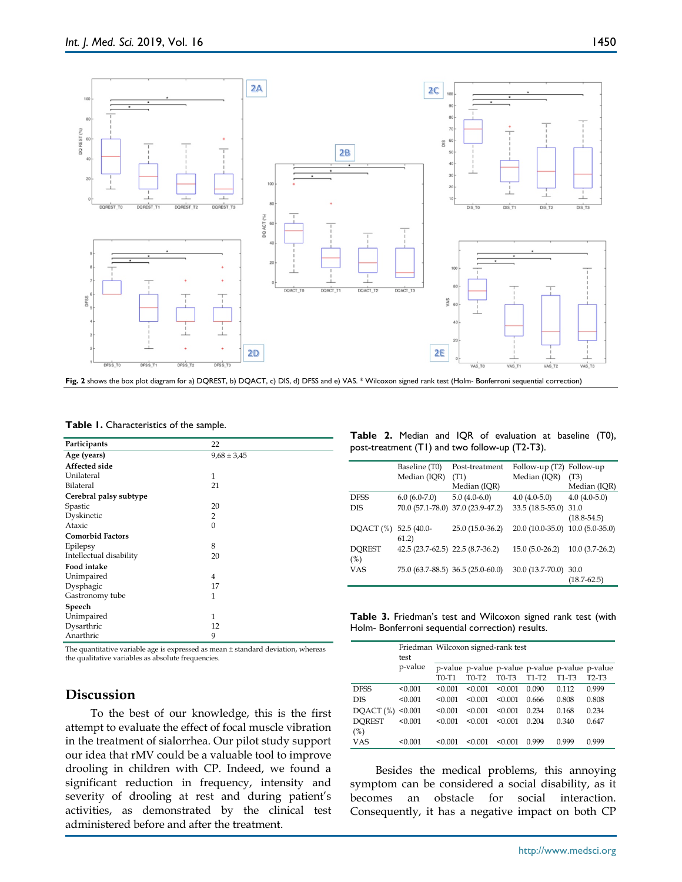

|  |  | Table 1. Characteristics of the sample. |  |  |  |
|--|--|-----------------------------------------|--|--|--|
|--|--|-----------------------------------------|--|--|--|

| Participants            | 22              |
|-------------------------|-----------------|
| Age (years)             | $9,68 \pm 3,45$ |
| <b>Affected side</b>    |                 |
| Unilateral              | 1               |
| Bilateral               | 21              |
| Cerebral palsy subtype  |                 |
| Spastic                 | 20              |
| Dyskinetic              | $\overline{2}$  |
| Ataxic                  | $\Omega$        |
| <b>Comorbid Factors</b> |                 |
| Epilepsy                | 8               |
| Intellectual disability | 20              |
| <b>Food intake</b>      |                 |
| Unimpaired              | $\overline{4}$  |
| Dysphagic               | 17              |
| Gastronomy tube         | 1               |
| Speech                  |                 |
| Unimpaired              | 1               |
| Dysarthric              | 12              |
| Anarthric               | 9               |

The quantitative variable age is expressed as mean ± standard deviation, whereas the qualitative variables as absolute frequencies.

# **Discussion**

To the best of our knowledge, this is the first attempt to evaluate the effect of focal muscle vibration in the treatment of sialorrhea. Our pilot study support our idea that rMV could be a valuable tool to improve drooling in children with CP. Indeed, we found a significant reduction in frequency, intensity and severity of drooling at rest and during patient's activities, as demonstrated by the clinical test administered before and after the treatment.

#### **Table 2.** Median and IQR of evaluation at baseline (T0), post-treatment (T1) and two follow-up (T2-T3).

|               | Baseline (T0)                    | Post-treatment                    | Follow-up (T2) Follow-up         |                  |  |
|---------------|----------------------------------|-----------------------------------|----------------------------------|------------------|--|
|               | Median (IQR)                     | (T1)                              | Median (IQR)                     | (T3)             |  |
|               |                                  | Median (IQR)                      |                                  | Median (IQR)     |  |
| <b>DESS</b>   | $6.0(6.0-7.0)$                   | $5.0(4.0-6.0)$                    | $4.0(4.0-5.0)$                   | $4.0(4.0-5.0)$   |  |
| DIS           | 70.0 (57.1-78.0)                 | 37.0 (23.9-47.2)                  | $33.5(18.5-55.0)$                | 31.0             |  |
|               |                                  |                                   |                                  | $(18.8 - 54.5)$  |  |
| DQACT (%)     | $52.5(40.0-$<br>61.2)            | $25.0(15.0-36.2)$                 | 20.0 (10.0-35.0) 10.0 (5.0-35.0) |                  |  |
| <b>DOREST</b> | 42.5 (23.7-62.5) 22.5 (8.7-36.2) |                                   | $15.0(5.0-26.2)$                 | $10.0(3.7-26.2)$ |  |
| (%)           |                                  |                                   |                                  |                  |  |
| <b>VAS</b>    |                                  | 75.0 (63.7-88.5) 36.5 (25.0-60.0) | 30.0 (13.7-70.0) 30.0            |                  |  |
|               |                                  |                                   |                                  | $(18.7 - 62.5)$  |  |

**Table 3.** Friedman's test and Wilcoxon signed rank test (with Holm- Bonferroni sequential correction) results.

|                      | test    | Friedman Wilcoxon signed-rank test |         |                                |                                                            |                                |       |
|----------------------|---------|------------------------------------|---------|--------------------------------|------------------------------------------------------------|--------------------------------|-------|
|                      | p-value | T0-T1                              | T0-T2   | T <sub>0</sub> -T <sub>3</sub> | p-value p-value p-value p-value p-value p-value<br>$T1-T2$ | T <sub>1</sub> -T <sub>3</sub> | T2-T3 |
| <b>DFSS</b>          | < 0.001 | < 0.001                            | < 0.001 | < 0.001                        | 0.090                                                      | 0.112                          | 0.999 |
| <b>DIS</b>           | < 0.001 | < 0.001                            | < 0.001 | < 0.001                        | 0.666                                                      | 0.808                          | 0.808 |
| DQACT (%)            | < 0.001 | < 0.001                            | < 0.001 | < 0.001                        | 0.234                                                      | 0.168                          | 0.234 |
| <b>DOREST</b><br>(%) | < 0.001 | < 0.001                            | < 0.001 | < 0.001                        | 0.204                                                      | 0.340                          | 0.647 |
| VAS                  | < 0.001 | < 0.001                            | < 0.001 | < 0.001                        | 0.999                                                      | 0.999                          | 0.999 |

Besides the medical problems, this annoying symptom can be considered a social disability, as it becomes an obstacle for social interaction. Consequently, it has a negative impact on both CP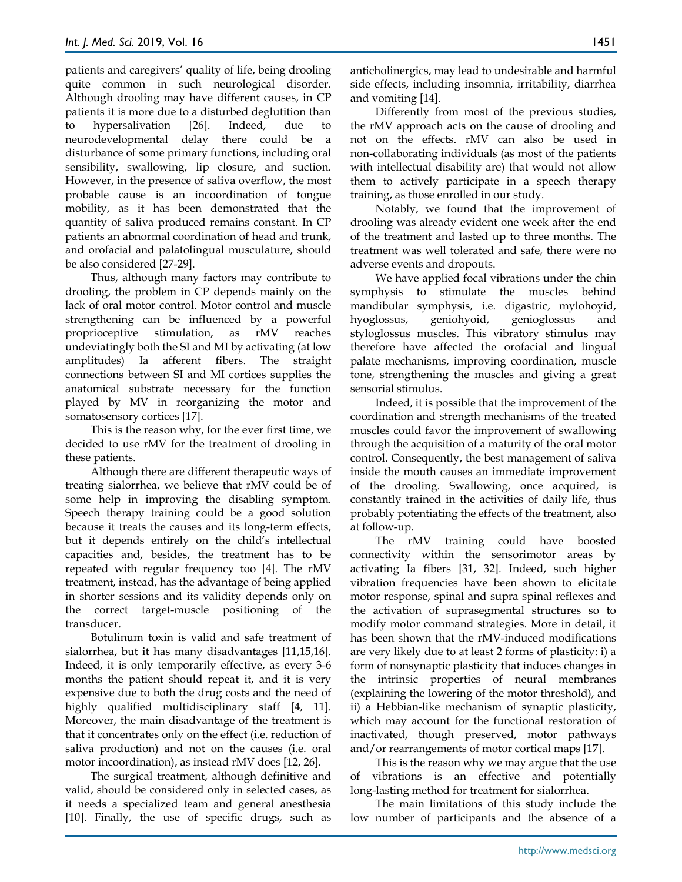patients and caregivers' quality of life, being drooling quite common in such neurological disorder. Although drooling may have different causes, in CP patients it is more due to a disturbed deglutition than to hypersalivation [26]. Indeed, due to neurodevelopmental delay there could be a disturbance of some primary functions, including oral sensibility, swallowing, lip closure, and suction. However, in the presence of saliva overflow, the most probable cause is an incoordination of tongue mobility, as it has been demonstrated that the quantity of saliva produced remains constant. In CP patients an abnormal coordination of head and trunk, and orofacial and palatolingual musculature, should be also considered [27-29].

Thus, although many factors may contribute to drooling, the problem in CP depends mainly on the lack of oral motor control. Motor control and muscle strengthening can be influenced by a powerful proprioceptive stimulation, as rMV reaches undeviatingly both the SI and MI by activating (at low amplitudes) Ia afferent fibers. The straight connections between SI and MI cortices supplies the anatomical substrate necessary for the function played by MV in reorganizing the motor and somatosensory cortices [17].

This is the reason why, for the ever first time, we decided to use rMV for the treatment of drooling in these patients.

Although there are different therapeutic ways of treating sialorrhea, we believe that rMV could be of some help in improving the disabling symptom. Speech therapy training could be a good solution because it treats the causes and its long-term effects, but it depends entirely on the child's intellectual capacities and, besides, the treatment has to be repeated with regular frequency too [4]. The rMV treatment, instead, has the advantage of being applied in shorter sessions and its validity depends only on the correct target-muscle positioning of the transducer.

Botulinum toxin is valid and safe treatment of sialorrhea, but it has many disadvantages [11,15,16]. Indeed, it is only temporarily effective, as every 3-6 months the patient should repeat it, and it is very expensive due to both the drug costs and the need of highly qualified multidisciplinary staff [4, 11]. Moreover, the main disadvantage of the treatment is that it concentrates only on the effect (i.e. reduction of saliva production) and not on the causes (i.e. oral motor incoordination), as instead rMV does [12, 26].

The surgical treatment, although definitive and valid, should be considered only in selected cases, as it needs a specialized team and general anesthesia [10]. Finally, the use of specific drugs, such as

anticholinergics, may lead to undesirable and harmful side effects, including insomnia, irritability, diarrhea and vomiting [14].

Differently from most of the previous studies, the rMV approach acts on the cause of drooling and not on the effects. rMV can also be used in non-collaborating individuals (as most of the patients with intellectual disability are) that would not allow them to actively participate in a speech therapy training, as those enrolled in our study.

Notably, we found that the improvement of drooling was already evident one week after the end of the treatment and lasted up to three months. The treatment was well tolerated and safe, there were no adverse events and dropouts.

We have applied focal vibrations under the chin symphysis to stimulate the muscles behind mandibular symphysis, i.e. digastric, mylohoyid, hyoglossus, geniohyoid, genioglossus and styloglossus muscles. This vibratory stimulus may therefore have affected the orofacial and lingual palate mechanisms, improving coordination, muscle tone, strengthening the muscles and giving a great sensorial stimulus.

Indeed, it is possible that the improvement of the coordination and strength mechanisms of the treated muscles could favor the improvement of swallowing through the acquisition of a maturity of the oral motor control. Consequently, the best management of saliva inside the mouth causes an immediate improvement of the drooling. Swallowing, once acquired, is constantly trained in the activities of daily life, thus probably potentiating the effects of the treatment, also at follow-up.

The rMV training could have boosted connectivity within the sensorimotor areas by activating Ia fibers [31, 32]. Indeed, such higher vibration frequencies have been shown to elicitate motor response, spinal and supra spinal reflexes and the activation of suprasegmental structures so to modify motor command strategies. More in detail, it has been shown that the rMV-induced modifications are very likely due to at least 2 forms of plasticity: i) a form of nonsynaptic plasticity that induces changes in the intrinsic properties of neural membranes (explaining the lowering of the motor threshold), and ii) a Hebbian-like mechanism of synaptic plasticity, which may account for the functional restoration of inactivated, though preserved, motor pathways and/or rearrangements of motor cortical maps [17].

This is the reason why we may argue that the use of vibrations is an effective and potentially long-lasting method for treatment for sialorrhea.

The main limitations of this study include the low number of participants and the absence of a